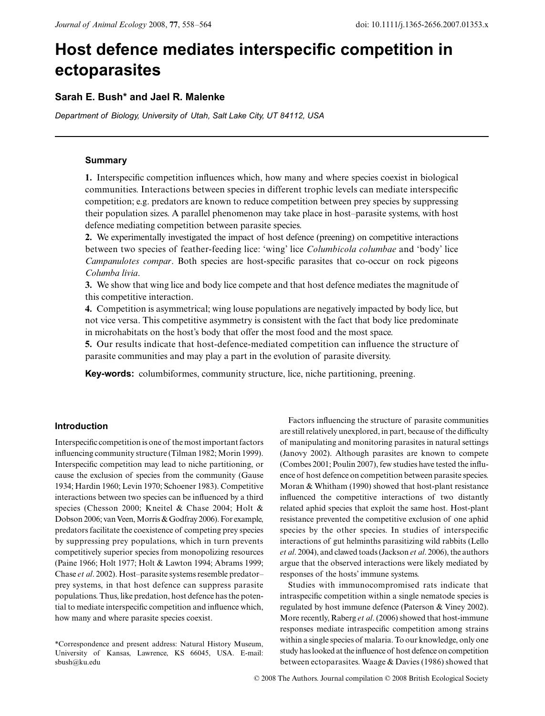# **Host defence mediates interspecific competition in ectoparasites**

# **Sarah E. Bush\* and Jael R. Malenke**

*Department of Biology, University of Utah, Salt Lake City, UT 84112, USA*

## **Summary**

**1.** Interspecific competition influences which, how many and where species coexist in biological communities. Interactions between species in different trophic levels can mediate interspecific competition; e.g. predators are known to reduce competition between prey species by suppressing their population sizes. A parallel phenomenon may take place in host–parasite systems, with host defence mediating competition between parasite species.

**2.** We experimentally investigated the impact of host defence (preening) on competitive interactions between two species of feather-feeding lice: 'wing' lice *Columbicola columbae* and 'body' lice *Campanulotes compar*. Both species are host-specific parasites that co-occur on rock pigeons *Columba livia*.

**3.** We show that wing lice and body lice compete and that host defence mediates the magnitude of this competitive interaction.

**4.** Competition is asymmetrical; wing louse populations are negatively impacted by body lice, but not vice versa. This competitive asymmetry is consistent with the fact that body lice predominate in microhabitats on the host's body that offer the most food and the most space.

**5.** Our results indicate that host-defence-mediated competition can influence the structure of parasite communities and may play a part in the evolution of parasite diversity.

**Key-words:** columbiformes, community structure, lice, niche partitioning, preening.

# **Introduction**

Interspecific competition is one of the most important factors influencing community structure (Tilman 1982; Morin 1999). Interspecific competition may lead to niche partitioning, or cause the exclusion of species from the community (Gause 1934; Hardin 1960; Levin 1970; Schoener 1983). Competitive interactions between two species can be influenced by a third species (Chesson 2000; Kneitel & Chase 2004; Holt & Dobson 2006; van Veen, Morris & Godfray 2006). For example, predators facilitate the coexistence of competing prey species by suppressing prey populations, which in turn prevents competitively superior species from monopolizing resources (Paine 1966; Holt 1977; Holt & Lawton 1994; Abrams 1999; Chase *et al*. 2002). Host–parasite systems resemble predator– prey systems, in that host defence can suppress parasite populations. Thus, like predation, host defence has the potential to mediate interspecific competition and influence which, how many and where parasite species coexist.

Factors influencing the structure of parasite communities are still relatively unexplored, in part, because of the difficulty of manipulating and monitoring parasites in natural settings (Janovy 2002). Although parasites are known to compete (Combes 2001; Poulin 2007), few studies have tested the influence of host defence on competition between parasite species. Moran & Whitham (1990) showed that host-plant resistance influenced the competitive interactions of two distantly related aphid species that exploit the same host. Host-plant resistance prevented the competitive exclusion of one aphid species by the other species. In studies of interspecific interactions of gut helminths parasitizing wild rabbits (Lello *et al*. 2004), and clawed toads (Jackson *et al*. 2006), the authors argue that the observed interactions were likely mediated by responses of the hosts' immune systems.

Studies with immunocompromised rats indicate that intraspecific competition within a single nematode species is regulated by host immune defence (Paterson & Viney 2002). More recently, Raberg *et al*. (2006) showed that host-immune responses mediate intraspecific competition among strains within a single species of malaria. To our knowledge, only one study has looked at the influence of host defence on competition between ectoparasites. Waage & Davies (1986) showed that

<sup>\*</sup>Correspondence and present address: Natural History Museum, University of Kansas, Lawrence, KS 66045, USA. E-mail: sbush@ku.edu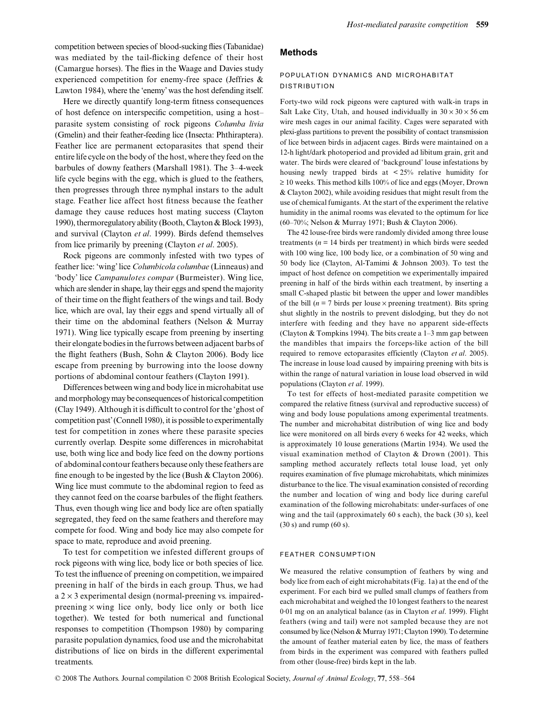competition between species of blood-sucking flies (Tabanidae) was mediated by the tail-flicking defence of their host (Camargue horses). The flies in the Waage and Davies study experienced competition for enemy-free space (Jeffries & Lawton 1984), where the 'enemy' was the host defending itself.

Here we directly quantify long-term fitness consequences of host defence on interspecific competition, using a host– parasite system consisting of rock pigeons *Columba livia* (Gmelin) and their feather-feeding lice (Insecta: Phthiraptera). Feather lice are permanent ectoparasites that spend their entire life cycle on the body of the host, where they feed on the barbules of downy feathers (Marshall 1981). The 3–4-week life cycle begins with the egg, which is glued to the feathers, then progresses through three nymphal instars to the adult stage. Feather lice affect host fitness because the feather damage they cause reduces host mating success (Clayton 1990), thermoregulatory ability (Booth, Clayton & Block 1993), and survival (Clayton *et al*. 1999). Birds defend themselves from lice primarily by preening (Clayton *et al*. 2005).

Rock pigeons are commonly infested with two types of feather lice: 'wing' lice *Columbicola columbae* (Linneaus) and 'body' lice *Campanulotes compar* (Burmeister). Wing lice, which are slender in shape, lay their eggs and spend the majority of their time on the flight feathers of the wings and tail. Body lice, which are oval, lay their eggs and spend virtually all of their time on the abdominal feathers (Nelson & Murray 1971). Wing lice typically escape from preening by inserting their elongate bodies in the furrows between adjacent barbs of the flight feathers (Bush, Sohn & Clayton 2006). Body lice escape from preening by burrowing into the loose downy portions of abdominal contour feathers (Clayton 1991).

Differences between wing and body lice in microhabitat use and morphology may be consequences of historical competition (Clay 1949). Although it is difficult to control for the 'ghost of competition past' (Connell 1980), it is possible to experimentally test for competition in zones where these parasite species currently overlap. Despite some differences in microhabitat use, both wing lice and body lice feed on the downy portions of abdominal contour feathers because only these feathers are fine enough to be ingested by the lice (Bush & Clayton 2006). Wing lice must commute to the abdominal region to feed as they cannot feed on the coarse barbules of the flight feathers. Thus, even though wing lice and body lice are often spatially segregated, they feed on the same feathers and therefore may compete for food. Wing and body lice may also compete for space to mate, reproduce and avoid preening.

To test for competition we infested different groups of rock pigeons with wing lice, body lice or both species of lice. To test the influence of preening on competition, we impaired preening in half of the birds in each group. Thus, we had  $a$  2  $\times$  3 experimental design (normal-preening vs. impairedpreening  $\times$  wing lice only, body lice only or both lice together). We tested for both numerical and functional responses to competition (Thompson 1980) by comparing parasite population dynamics, food use and the microhabitat distributions of lice on birds in the different experimental treatments.

#### **Methods**

## POPULATION DYNAMICS AND MICROHABITAT DISTRIBUTION

Forty-two wild rock pigeons were captured with walk-in traps in Salt Lake City, Utah, and housed individually in  $30 \times 30 \times 56$  cm wire mesh cages in our animal facility. Cages were separated with plexi-glass partitions to prevent the possibility of contact transmission of lice between birds in adjacent cages. Birds were maintained on a 12-h light/dark photoperiod and provided ad libitum grain, grit and water. The birds were cleared of 'background' louse infestations by housing newly trapped birds at < 25% relative humidity for ≥ 10 weeks. This method kills 100% of lice and eggs (Moyer, Drown & Clayton 2002), while avoiding residues that might result from the use of chemical fumigants. At the start of the experiment the relative humidity in the animal rooms was elevated to the optimum for lice (60–70%; Nelson & Murray 1971; Bush & Clayton 2006).

The 42 louse-free birds were randomly divided among three louse treatments ( $n = 14$  birds per treatment) in which birds were seeded with 100 wing lice, 100 body lice, or a combination of 50 wing and 50 body lice (Clayton, Al-Tamimi & Johnson 2003). To test the impact of host defence on competition we experimentally impaired preening in half of the birds within each treatment, by inserting a small C-shaped plastic bit between the upper and lower mandibles of the bill ( $n = 7$  birds per louse  $\times$  preening treatment). Bits spring shut slightly in the nostrils to prevent dislodging, but they do not interfere with feeding and they have no apparent side-effects (Clayton & Tompkins 1994). The bits create a 1–3 mm gap between the mandibles that impairs the forceps-like action of the bill required to remove ectoparasites efficiently (Clayton *et al*. 2005). The increase in louse load caused by impairing preening with bits is within the range of natural variation in louse load observed in wild populations (Clayton *et al*. 1999).

To test for effects of host-mediated parasite competition we compared the relative fitness (survival and reproductive success) of wing and body louse populations among experimental treatments. The number and microhabitat distribution of wing lice and body lice were monitored on all birds every 6 weeks for 42 weeks, which is approximately 10 louse generations (Martin 1934). We used the visual examination method of Clayton & Drown (2001). This sampling method accurately reflects total louse load, yet only requires examination of five plumage microhabitats, which minimizes disturbance to the lice. The visual examination consisted of recording the number and location of wing and body lice during careful examination of the following microhabitats: under-surfaces of one wing and the tail (approximately 60 s each), the back (30 s), keel (30 s) and rump (60 s).

#### FEATHER CONSUMPTION

We measured the relative consumption of feathers by wing and body lice from each of eight microhabitats (Fig. 1a) at the end of the experiment. For each bird we pulled small clumps of feathers from each microhabitat and weighed the 10 longest feathers to the nearest 0·01 mg on an analytical balance (as in Clayton *et al*. 1999). Flight feathers (wing and tail) were not sampled because they are not consumed by lice (Nelson & Murray 1971; Clayton 1990). To determine the amount of feather material eaten by lice, the mass of feathers from birds in the experiment was compared with feathers pulled from other (louse-free) birds kept in the lab.

© 2008 The Authors. Journal compilation © 2008 British Ecological Society, *Journal of Animal Ecology*, **77**, 558–564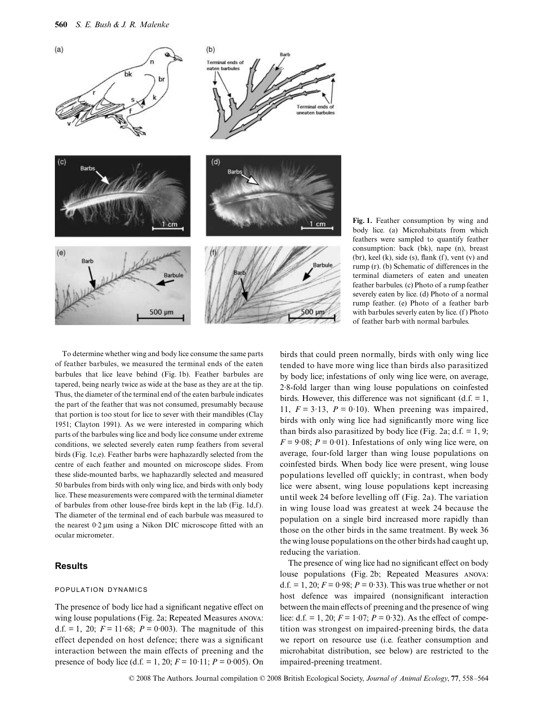

**Fig. 1.** Feather consumption by wing and body lice. (a) Microhabitats from which feathers were sampled to quantify feather consumption: back (bk), nape (n), breast (br), keel (k), side (s), flank  $(f)$ , vent  $(v)$  and rump (r). (b) Schematic of differences in the terminal diameters of eaten and uneaten feather barbules. (c) Photo of a rump feather severely eaten by lice. (d) Photo of a normal rump feather. (e) Photo of a feather barb with barbules severly eaten by lice. (f) Photo of feather barb with normal barbules.

To determine whether wing and body lice consume the same parts of feather barbules, we measured the terminal ends of the eaten barbules that lice leave behind (Fig. 1b). Feather barbules are tapered, being nearly twice as wide at the base as they are at the tip. Thus, the diameter of the terminal end of the eaten barbule indicates the part of the feather that was not consumed, presumably because that portion is too stout for lice to sever with their mandibles (Clay 1951; Clayton 1991). As we were interested in comparing which parts of the barbules wing lice and body lice consume under extreme conditions, we selected severely eaten rump feathers from several birds (Fig. 1c,e). Feather barbs were haphazardly selected from the centre of each feather and mounted on microscope slides. From these slide-mounted barbs, we haphazardly selected and measured 50 barbules from birds with only wing lice, and birds with only body lice. These measurements were compared with the terminal diameter of barbules from other louse-free birds kept in the lab (Fig. 1d,f). The diameter of the terminal end of each barbule was measured to the nearest 0·2 μm using a Nikon DIC microscope fitted with an ocular micrometer.

## **Results**

#### POPULATION DYNAMICS

The presence of body lice had a significant negative effect on wing louse populations (Fig. 2a; Repeated Measures anova: d.f. = 1, 20;  $F = 11.68$ ;  $P = 0.003$ ). The magnitude of this effect depended on host defence; there was a significant interaction between the main effects of preening and the presence of body lice (d.f. = 1, 20;  $F = 10.11$ ;  $P = 0.005$ ). On

birds that could preen normally, birds with only wing lice tended to have more wing lice than birds also parasitized by body lice; infestations of only wing lice were, on average, 2·8-fold larger than wing louse populations on coinfested birds. However, this difference was not significant (d.f. *=* 1, 11,  $F = 3.13$ ,  $P = 0.10$ ). When preening was impaired, birds with only wing lice had significantly more wing lice than birds also parasitized by body lice (Fig. 2a; d.f. *=* 1, 9;  $F = 9.08$ ;  $P = 0.01$ ). Infestations of only wing lice were, on average, four-fold larger than wing louse populations on coinfested birds. When body lice were present, wing louse populations levelled off quickly; in contrast, when body lice were absent, wing louse populations kept increasing until week 24 before levelling off (Fig. 2a). The variation in wing louse load was greatest at week 24 because the population on a single bird increased more rapidly than those on the other birds in the same treatment. By week 36 the wing louse populations on the other birds had caught up, reducing the variation.

The presence of wing lice had no significant effect on body louse populations (Fig. 2b; Repeated Measures anova: d.f. = 1, 20;  $F = 0.98$ ;  $P = 0.33$ ). This was true whether or not host defence was impaired (nonsignificant interaction between the main effects of preening and the presence of wing lice: d.f. = 1, 20;  $F = 1.07$ ;  $P = 0.32$ ). As the effect of competition was strongest on impaired-preening birds, the data we report on resource use (i.e. feather consumption and microhabitat distribution, see below) are restricted to the impaired-preening treatment.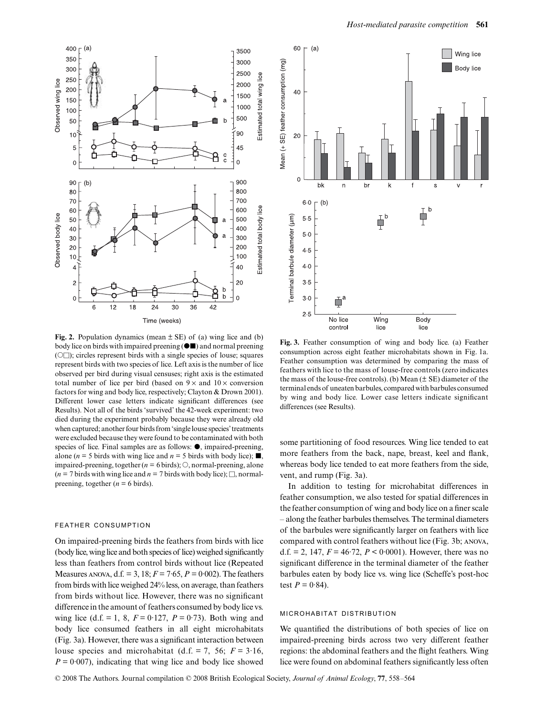

**Fig. 2.** Population dynamics (mean  $\pm$  SE) of (a) wing lice and (b) body lice on birds with impaired preening  $(①$  and normal preening  $(O<sub>1</sub>)$ ; circles represent birds with a single species of louse; squares represent birds with two species of lice. Left axis is the number of lice observed per bird during visual censuses; right axis is the estimated total number of lice per bird (based on  $9 \times$  and  $10 \times$  conversion factors for wing and body lice, respectively; Clayton & Drown 2001). Different lower case letters indicate significant differences (see Results). Not all of the birds 'survived' the 42-week experiment: two died during the experiment probably because they were already old when captured; another four birds from 'single louse species' treatments were excluded because they were found to be contaminated with both species of lice. Final samples are as follows:  $\bullet$ , impaired-preening, alone ( $n = 5$  birds with wing lice and  $n = 5$  birds with body lice);  $\blacksquare$ , impaired-preening, together  $(n = 6 \text{ birds})$ ;  $\bigcirc$ , normal-preening, alone ( $n = 7$  birds with wing lice and  $n = 7$  birds with body lice);  $\Box$ , normalpreening, together ( $n = 6$  birds).

## FEATHER CONSUMPTION

On impaired-preening birds the feathers from birds with lice (body lice, wing lice and both species of lice) weighed significantly less than feathers from control birds without lice (Repeated Measures anova, d.f. = 3, 18; *F* = 7·65, *P =* 0·002). The feathers from birds with lice weighed 24% less, on average, than feathers from birds without lice. However, there was no significant difference in the amount of feathers consumed by body lice vs. wing lice (d.f. = 1, 8,  $F = 0.127$ ,  $P = 0.73$ ). Both wing and body lice consumed feathers in all eight microhabitats (Fig. 3a). However, there was a significant interaction between louse species and microhabitat (d.f.  $= 7, 56$ ;  $F = 3.16$ ,  $P = 0.007$ , indicating that wing lice and body lice showed



**Fig. 3.** Feather consumption of wing and body lice. (a) Feather consumption across eight feather microhabitats shown in Fig. 1a. Feather consumption was determined by comparing the mass of feathers with lice to the mass of louse-free controls (zero indicates the mass of the louse-free controls). (b) Mean  $(\pm \text{ SE})$  diameter of the terminal ends of uneaten barbules, compared with barbules consumed by wing and body lice. Lower case letters indicate significant differences (see Results).

some partitioning of food resources. Wing lice tended to eat more feathers from the back, nape, breast, keel and flank, whereas body lice tended to eat more feathers from the side, vent, and rump (Fig. 3a).

In addition to testing for microhabitat differences in feather consumption, we also tested for spatial differences in the feather consumption of wing and body lice on a finer scale – along the feather barbules themselves. The terminal diameters of the barbules were significantly larger on feathers with lice compared with control feathers without lice (Fig. 3b; anova, d.f. = 2, 147,  $F = 46.72$ ,  $P < 0.0001$ ). However, there was no significant difference in the terminal diameter of the feather barbules eaten by body lice vs. wing lice (Scheffe's post-hoc test  $P = 0.84$ ).

#### MICROHABITAT DISTRIBUTION

We quantified the distributions of both species of lice on impaired-preening birds across two very different feather regions: the abdominal feathers and the flight feathers. Wing lice were found on abdominal feathers significantly less often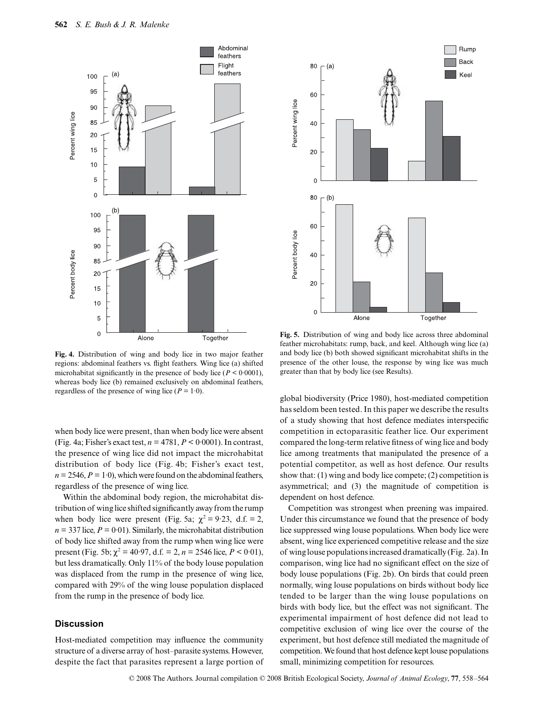

**Fig. 4.** Distribution of wing and body lice in two major feather regions: abdominal feathers vs. flight feathers. Wing lice (a) shifted microhabitat significantly in the presence of body lice  $(P < 0.0001)$ , whereas body lice (b) remained exclusively on abdominal feathers, regardless of the presence of wing lice  $(P = 1.0)$ .

when body lice were present, than when body lice were absent (Fig. 4a; Fisher's exact test, *n* = 4781, *P* < 0·0001). In contrast, the presence of wing lice did not impact the microhabitat distribution of body lice (Fig. 4b; Fisher's exact test,  $n = 2546$ ,  $P = 1.0$ ), which were found on the abdominal feathers, regardless of the presence of wing lice.

Within the abdominal body region, the microhabitat distribution of wing lice shifted significantly away from the rump when body lice were present (Fig. 5a;  $\chi^2 = 9.23$ , d.f. = 2,  $n = 337$  lice,  $P = 0.01$ ). Similarly, the microhabitat distribution of body lice shifted away from the rump when wing lice were present (Fig. 5b;  $\chi^2 = 40.97$ , d.f. = 2, *n* = 2546 lice, *P* < 0.01), but less dramatically. Only 11% of the body louse population was displaced from the rump in the presence of wing lice, compared with 29% of the wing louse population displaced from the rump in the presence of body lice.

# **Discussion**

Host-mediated competition may influence the community structure of a diverse array of host–parasite systems. However, despite the fact that parasites represent a large portion of



**Fig. 5.** Distribution of wing and body lice across three abdominal feather microhabitats: rump, back, and keel. Although wing lice (a) and body lice (b) both showed significant microhabitat shifts in the presence of the other louse, the response by wing lice was much greater than that by body lice (see Results).

global biodiversity (Price 1980), host-mediated competition has seldom been tested. In this paper we describe the results of a study showing that host defence mediates interspecific competition in ectoparasitic feather lice. Our experiment compared the long-term relative fitness of wing lice and body lice among treatments that manipulated the presence of a potential competitor, as well as host defence. Our results show that: (1) wing and body lice compete; (2) competition is asymmetrical; and (3) the magnitude of competition is dependent on host defence.

Competition was strongest when preening was impaired. Under this circumstance we found that the presence of body lice suppressed wing louse populations. When body lice were absent, wing lice experienced competitive release and the size of wing louse populations increased dramatically (Fig. 2a). In comparison, wing lice had no significant effect on the size of body louse populations (Fig. 2b). On birds that could preen normally, wing louse populations on birds without body lice tended to be larger than the wing louse populations on birds with body lice, but the effect was not significant. The experimental impairment of host defence did not lead to competitive exclusion of wing lice over the course of the experiment, but host defence still mediated the magnitude of competition. We found that host defence kept louse populations small, minimizing competition for resources.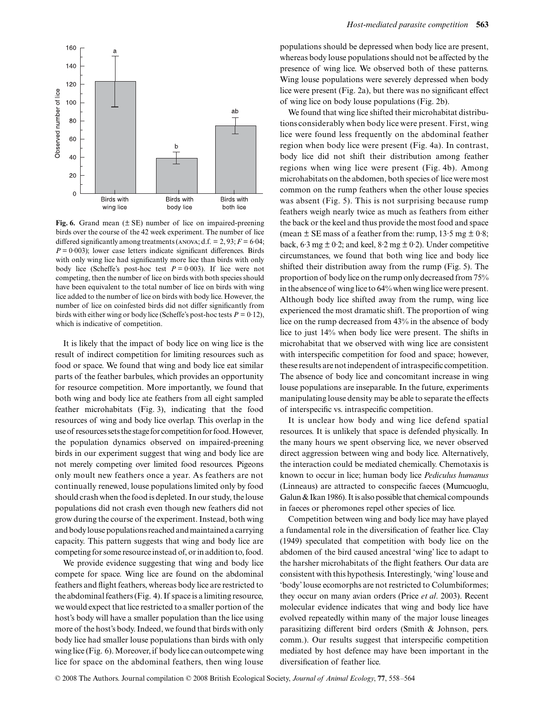

**Fig. 6.** Grand mean (± SE) number of lice on impaired-preening birds over the course of the 42 week experiment. The number of lice differed significantly among treatments (ANOVA;  $d.f. = 2, 93$ ;  $F = 6.04$ ;  $P = 0.003$ ; lower case letters indicate significant differences. Birds with only wing lice had significantly more lice than birds with only body lice (Scheffe's post-hoc test  $P = 0.003$ ). If lice were not competing, then the number of lice on birds with both species should have been equivalent to the total number of lice on birds with wing lice added to the number of lice on birds with body lice. However, the number of lice on coinfested birds did not differ significantly from birds with either wing or body lice (Scheffe's post-hoc tests  $P = 0.12$ ), which is indicative of competition.

It is likely that the impact of body lice on wing lice is the result of indirect competition for limiting resources such as food or space. We found that wing and body lice eat similar parts of the feather barbules, which provides an opportunity for resource competition. More importantly, we found that both wing and body lice ate feathers from all eight sampled feather microhabitats (Fig. 3), indicating that the food resources of wing and body lice overlap. This overlap in the use of resources sets the stage for competition for food. However, the population dynamics observed on impaired-preening birds in our experiment suggest that wing and body lice are not merely competing over limited food resources. Pigeons only moult new feathers once a year. As feathers are not continually renewed, louse populations limited only by food should crash when the food is depleted. In our study, the louse populations did not crash even though new feathers did not grow during the course of the experiment. Instead, both wing and body louse populations reached and maintained a carrying capacity. This pattern suggests that wing and body lice are competing for some resource instead of, or in addition to, food.

We provide evidence suggesting that wing and body lice compete for space. Wing lice are found on the abdominal feathers and flight feathers, whereas body lice are restricted to the abdominal feathers (Fig. 4). If space is a limiting resource, we would expect that lice restricted to a smaller portion of the host's body will have a smaller population than the lice using more of the host's body. Indeed, we found that birds with only body lice had smaller louse populations than birds with only wing lice (Fig. 6). Moreover, if body lice can outcompete wing lice for space on the abdominal feathers, then wing louse

populations should be depressed when body lice are present, whereas body louse populations should not be affected by the presence of wing lice. We observed both of these patterns. Wing louse populations were severely depressed when body lice were present (Fig. 2a), but there was no significant effect of wing lice on body louse populations (Fig. 2b).

We found that wing lice shifted their microhabitat distributions considerably when body lice were present. First, wing lice were found less frequently on the abdominal feather region when body lice were present (Fig. 4a). In contrast, body lice did not shift their distribution among feather regions when wing lice were present (Fig. 4b). Among microhabitats on the abdomen, both species of lice were most common on the rump feathers when the other louse species was absent (Fig. 5). This is not surprising because rump feathers weigh nearly twice as much as feathers from either the back or the keel and thus provide the most food and space (mean  $\pm$  SE mass of a feather from the: rump, 13 $\cdot$ 5 mg  $\pm$  0 $\cdot$ 8; back,  $6·3$  mg  $\pm$  0·2; and keel,  $8·2$  mg  $\pm$  0·2). Under competitive circumstances, we found that both wing lice and body lice shifted their distribution away from the rump (Fig. 5). The proportion of body lice on the rump only decreased from 75% in the absence of wing lice to 64% when wing lice were present. Although body lice shifted away from the rump, wing lice experienced the most dramatic shift. The proportion of wing lice on the rump decreased from 43% in the absence of body lice to just 14% when body lice were present. The shifts in microhabitat that we observed with wing lice are consistent with interspecific competition for food and space; however, these results are not independent of intraspecific competition. The absence of body lice and concomitant increase in wing louse populations are inseparable. In the future, experiments manipulating louse density may be able to separate the effects of interspecific vs. intraspecific competition.

It is unclear how body and wing lice defend spatial resources. It is unlikely that space is defended physically. In the many hours we spent observing lice, we never observed direct aggression between wing and body lice. Alternatively, the interaction could be mediated chemically. Chemotaxis is known to occur in lice; human body lice *Pediculus humanus* (Linneaus) are attracted to conspecific faeces (Mumcuoglu, Galun & Ikan 1986). It is also possible that chemical compounds in faeces or pheromones repel other species of lice.

Competition between wing and body lice may have played a fundamental role in the diversification of feather lice. Clay (1949) speculated that competition with body lice on the abdomen of the bird caused ancestral 'wing' lice to adapt to the harsher microhabitats of the flight feathers. Our data are consistent with this hypothesis. Interestingly, 'wing' louse and 'body' louse ecomorphs are not restricted to Columbiformes; they occur on many avian orders (Price *et al*. 2003). Recent molecular evidence indicates that wing and body lice have evolved repeatedly within many of the major louse lineages parasitizing different bird orders (Smith & Johnson, pers. comm.). Our results suggest that interspecific competition mediated by host defence may have been important in the diversification of feather lice.